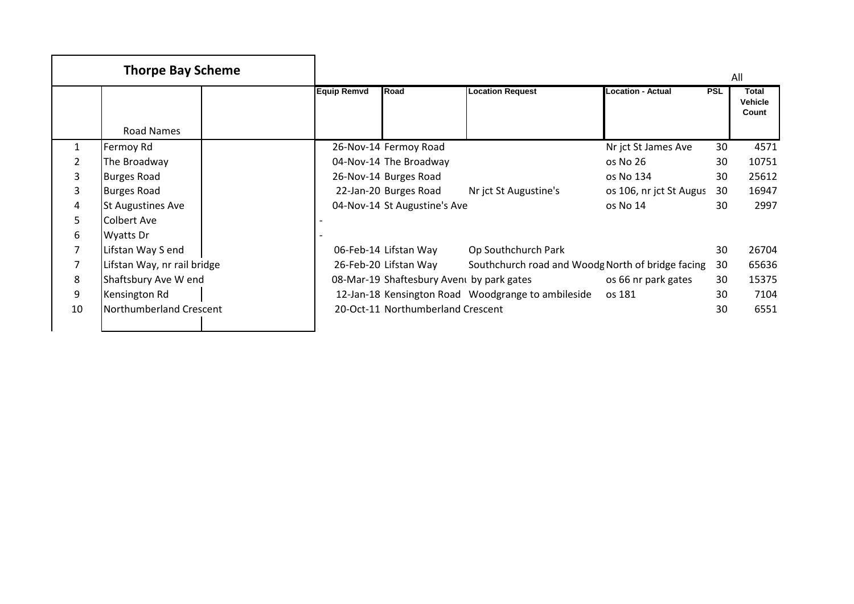|    | <b>Thorpe Bay Scheme</b>    |                    |                                           |                                                    |                          |            | All                              |
|----|-----------------------------|--------------------|-------------------------------------------|----------------------------------------------------|--------------------------|------------|----------------------------------|
|    |                             | <b>Equip Remvd</b> | Road                                      | <b>Location Request</b>                            | <b>Location - Actual</b> | <b>PSL</b> | <b>Total</b><br>Vehicle<br>Count |
|    | Road Names                  |                    |                                           |                                                    |                          |            |                                  |
| 1  | Fermoy Rd                   |                    | 26-Nov-14 Fermoy Road                     |                                                    | Nr jct St James Ave      | 30         | 4571                             |
|    | The Broadway                |                    | 04-Nov-14 The Broadway                    |                                                    | os No 26                 | 30         | 10751                            |
| 3  | <b>Burges Road</b>          |                    | 26-Nov-14 Burges Road                     |                                                    | os No 134                | 30         | 25612                            |
| 3  | <b>Burges Road</b>          |                    | 22-Jan-20 Burges Road                     | Nr jct St Augustine's                              | os 106, nr jct St Augus  | 30         | 16947                            |
| 4  | <b>St Augustines Ave</b>    |                    | 04-Nov-14 St Augustine's Ave              |                                                    | os No 14                 | 30         | 2997                             |
| 5. | Colbert Ave                 |                    |                                           |                                                    |                          |            |                                  |
| 6  | Wyatts Dr                   |                    |                                           |                                                    |                          |            |                                  |
|    | Lifstan Way S end           |                    | 06-Feb-14 Lifstan Way                     | Op Southchurch Park                                |                          | 30         | 26704                            |
|    | Lifstan Way, nr rail bridge |                    | 26-Feb-20 Lifstan Way                     | Southchurch road and Woodg North of bridge facing  |                          | 30         | 65636                            |
| 8  | Shaftsbury Ave W end        |                    | 08-Mar-19 Shaftesbury Avent by park gates |                                                    | os 66 nr park gates      | 30         | 15375                            |
| 9  | Kensington Rd               |                    |                                           | 12-Jan-18 Kensington Road Woodgrange to ambileside | os 181                   | 30         | 7104                             |
| 10 | Northumberland Crescent     |                    | 20-Oct-11 Northumberland Crescent         |                                                    |                          | 30         | 6551                             |